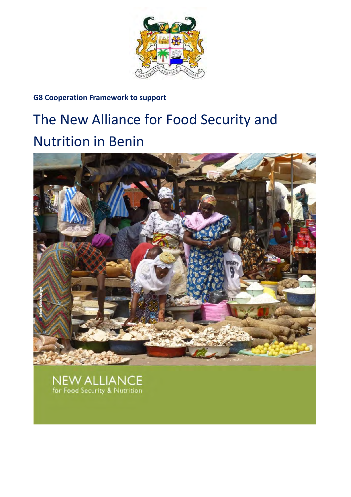

## **G8 Cooperation Framework to support**

# The New Alliance for Food Security and Nutrition in Benin



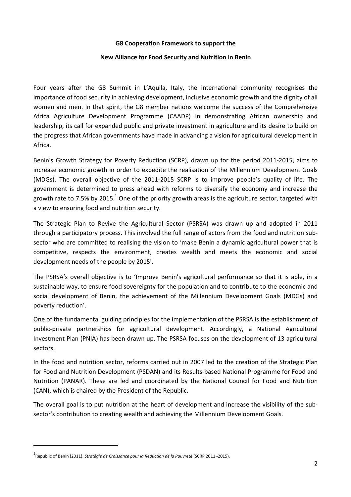#### **G8 Cooperation Framework to support the**

#### **New Alliance for Food Security and Nutrition in Benin**

Four years after the G8 Summit in L'Aquila, Italy, the international community recognises the importance of food security in achieving development, inclusive economic growth and the dignity of all women and men. In that spirit, the G8 member nations welcome the success of the Comprehensive Africa Agriculture Development Programme (CAADP) in demonstrating African ownership and leadership, its call for expanded public and private investment in agriculture and its desire to build on the progress that African governments have made in advancing a vision for agricultural development in Africa.

Benin's Growth Strategy for Poverty Reduction (SCRP), drawn up for the period 2011-2015, aims to increase economic growth in order to expedite the realisation of the Millennium Development Goals (MDGs). The overall objective of the 2011-2015 SCRP is to improve people's quality of life. The government is determined to press ahead with reforms to diversify the economy and increase the growth rate to 7.5% by 2015.<sup>1</sup> One of the priority growth areas is the agriculture sector, targeted with a view to ensuring food and nutrition security.

The Strategic Plan to Revive the Agricultural Sector (PSRSA) was drawn up and adopted in 2011 through a participatory process. This involved the full range of actors from the food and nutrition subsector who are committed to realising the vision to 'make Benin a dynamic agricultural power that is competitive, respects the environment, creates wealth and meets the economic and social development needs of the people by 2015'.

The PSRSA's overall objective is to 'Improve Benin's agricultural performance so that it is able, in a sustainable way, to ensure food sovereignty for the population and to contribute to the economic and social development of Benin, the achievement of the Millennium Development Goals (MDGs) and poverty reduction'.

One of the fundamental guiding principles for the implementation of the PSRSA is the establishment of public-private partnerships for agricultural development. Accordingly, a National Agricultural Investment Plan (PNIA) has been drawn up. The PSRSA focuses on the development of 13 agricultural sectors.

In the food and nutrition sector, reforms carried out in 2007 led to the creation of the Strategic Plan for Food and Nutrition Development (PSDAN) and its Results-based National Programme for Food and Nutrition (PANAR). These are led and coordinated by the National Council for Food and Nutrition (CAN), which is chaired by the President of the Republic.

The overall goal is to put nutrition at the heart of development and increase the visibility of the subsector's contribution to creating wealth and achieving the Millennium Development Goals.

l

<sup>1</sup> Republic of Benin (2011): *Stratégie de Croissance pour la Réduction de la Pauvreté* (SCRP 2011 -2015).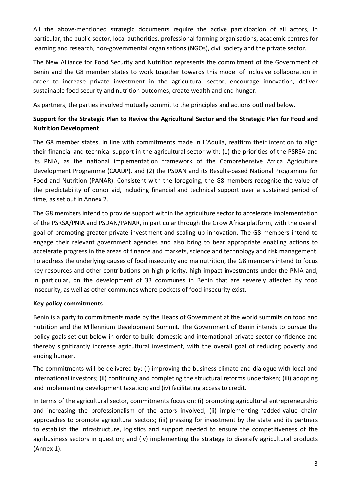All the above-mentioned strategic documents require the active participation of all actors, in particular, the public sector, local authorities, professional farming organisations, academic centres for learning and research, non-governmental organisations (NGOs), civil society and the private sector.

The New Alliance for Food Security and Nutrition represents the commitment of the Government of Benin and the G8 member states to work together towards this model of inclusive collaboration in order to increase private investment in the agricultural sector, encourage innovation, deliver sustainable food security and nutrition outcomes, create wealth and end hunger.

As partners, the parties involved mutually commit to the principles and actions outlined below.

## **Support for the Strategic Plan to Revive the Agricultural Sector and the Strategic Plan for Food and Nutrition Development**

The G8 member states, in line with commitments made in L'Aquila, reaffirm their intention to align their financial and technical support in the agricultural sector with: (1) the priorities of the PSRSA and its PNIA, as the national implementation framework of the Comprehensive Africa Agriculture Development Programme (CAADP), and (2) the PSDAN and its Results-based National Programme for Food and Nutrition (PANAR). Consistent with the foregoing, the G8 members recognise the value of the predictability of donor aid, including financial and technical support over a sustained period of time, as set out in Annex 2.

The G8 members intend to provide support within the agriculture sector to accelerate implementation of the PSRSA/PNIA and PSDAN/PANAR, in particular through the Grow Africa platform, with the overall goal of promoting greater private investment and scaling up innovation. The G8 members intend to engage their relevant government agencies and also bring to bear appropriate enabling actions to accelerate progress in the areas of finance and markets, science and technology and risk management. To address the underlying causes of food insecurity and malnutrition, the G8 members intend to focus key resources and other contributions on high-priority, high-impact investments under the PNIA and, in particular, on the development of 33 communes in Benin that are severely affected by food insecurity, as well as other communes where pockets of food insecurity exist.

## **Key policy commitments**

Benin is a party to commitments made by the Heads of Government at the world summits on food and nutrition and the Millennium Development Summit. The Government of Benin intends to pursue the policy goals set out below in order to build domestic and international private sector confidence and thereby significantly increase agricultural investment, with the overall goal of reducing poverty and ending hunger.

The commitments will be delivered by: (i) improving the business climate and dialogue with local and international investors; (ii) continuing and completing the structural reforms undertaken; (iii) adopting and implementing development taxation; and (iv) facilitating access to credit.

In terms of the agricultural sector, commitments focus on: (i) promoting agricultural entrepreneurship and increasing the professionalism of the actors involved; (ii) implementing 'added-value chain' approaches to promote agricultural sectors; (iii) pressing for investment by the state and its partners to establish the infrastructure, logistics and support needed to ensure the competitiveness of the agribusiness sectors in question; and (iv) implementing the strategy to diversify agricultural products (Annex 1).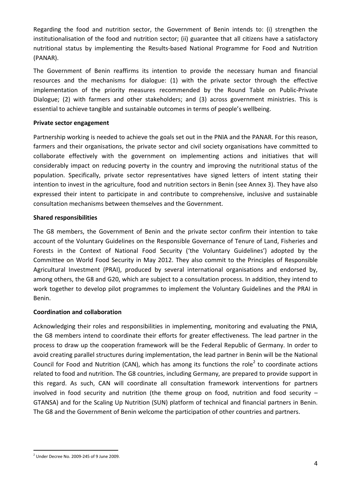Regarding the food and nutrition sector, the Government of Benin intends to: (i) strengthen the institutionalisation of the food and nutrition sector; (ii) guarantee that all citizens have a satisfactory nutritional status by implementing the Results-based National Programme for Food and Nutrition (PANAR).

The Government of Benin reaffirms its intention to provide the necessary human and financial resources and the mechanisms for dialogue: (1) with the private sector through the effective implementation of the priority measures recommended by the Round Table on Public-Private Dialogue; (2) with farmers and other stakeholders; and (3) across government ministries. This is essential to achieve tangible and sustainable outcomes in terms of people's wellbeing.

## **Private sector engagement**

Partnership working is needed to achieve the goals set out in the PNIA and the PANAR. For this reason, farmers and their organisations, the private sector and civil society organisations have committed to collaborate effectively with the government on implementing actions and initiatives that will considerably impact on reducing poverty in the country and improving the nutritional status of the population. Specifically, private sector representatives have signed letters of intent stating their intention to invest in the agriculture, food and nutrition sectors in Benin (see Annex 3). They have also expressed their intent to participate in and contribute to comprehensive, inclusive and sustainable consultation mechanisms between themselves and the Government.

## **Shared responsibilities**

The G8 members, the Government of Benin and the private sector confirm their intention to take account of the Voluntary Guidelines on the Responsible Governance of Tenure of Land, Fisheries and Forests in the Context of National Food Security ('the Voluntary Guidelines') adopted by the Committee on World Food Security in May 2012. They also commit to the Principles of Responsible Agricultural Investment (PRAI), produced by several international organisations and endorsed by, among others, the G8 and G20, which are subject to a consultation process. In addition, they intend to work together to develop pilot programmes to implement the Voluntary Guidelines and the PRAI in Benin.

## **Coordination and collaboration**

Acknowledging their roles and responsibilities in implementing, monitoring and evaluating the PNIA, the G8 members intend to coordinate their efforts for greater effectiveness. The lead partner in the process to draw up the cooperation framework will be the Federal Republic of Germany. In order to avoid creating parallel structures during implementation, the lead partner in Benin will be the National Council for Food and Nutrition (CAN), which has among its functions the role<sup>2</sup> to coordinate actions related to food and nutrition. The G8 countries, including Germany, are prepared to provide support in this regard. As such, CAN will coordinate all consultation framework interventions for partners involved in food security and nutrition (the theme group on food, nutrition and food security – GTANSA) and for the Scaling Up Nutrition (SUN) platform of technical and financial partners in Benin. The G8 and the Government of Benin welcome the participation of other countries and partners.

l

 $2$  Under Decree No. 2009-245 of 9 June 2009.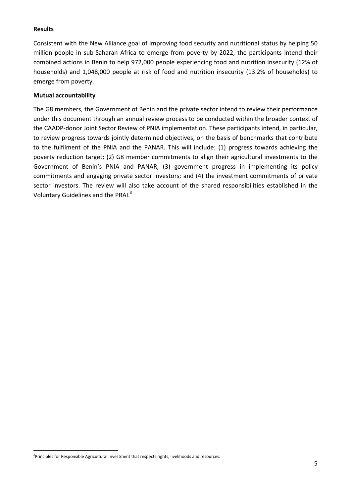## **Results**

l

Consistent with the New Alliance goal of improving food security and nutritional status by helping 50 million people in sub-Saharan Africa to emerge from poverty by 2022, the participants intend their combined actions in Benin to help 972,000 people experiencing food and nutrition insecurity (12% of households) and 1,048,000 people at risk of food and nutrition insecurity (13.2% of households) to emerge from poverty.

## **Mutual accountability**

The G8 members, the Government of Benin and the private sector intend to review their performance under this document through an annual review process to be conducted within the broader context of the CAADP-donor Joint Sector Review of PNIA implementation. These participants intend, in particular, to review progress towards jointly determined objectives, on the basis of benchmarks that contribute to the fulfilment of the PNIA and the PANAR. This will include: (1) progress towards achieving the poverty reduction target; (2) G8 member commitments to align their agricultural investments to the Government of Benin's PNIA and PANAR; (3) government progress in implementing its policy commitments and engaging private sector investors; and (4) the investment commitments of private sector investors. The review will also take account of the shared responsibilities established in the Voluntary Guidelines and the PRAI.<sup>3</sup>

<sup>&</sup>lt;sup>3</sup>Principles for Responsible Agricultural Investment that respects rights, livelihoods and resources.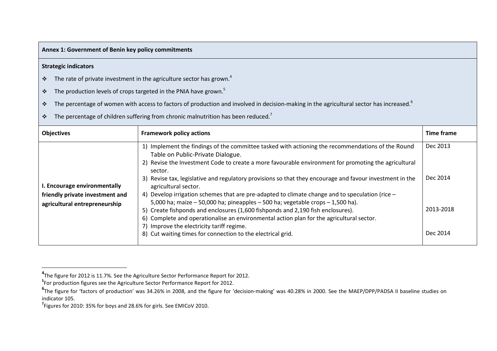#### **Annex 1: Government of Benin key policy commitments**

#### **Strategic indicators**

- $\frac{1}{2}$ The rate of private investment in the agriculture sector has grown. $4$
- $\cdot$ The production levels of crops targeted in the PNIA have grown.<sup>5</sup>
- $\bullet^{\bullet}_{\bullet}$ The percentage of women with access to factors of production and involved in decision-making in the agricultural sector has increased.<sup>6</sup>
- $\cdot$ The percentage of children suffering from chronic malnutrition has been reduced.<sup>7</sup>

| <b>Objectives</b>                                                                                | <b>Framework policy actions</b>                                                                                                                                                                                                                                                                                                                                                                                                                                                                                                                                                                                                                                                                                                                                                                                                                                                    | Time frame                                    |
|--------------------------------------------------------------------------------------------------|------------------------------------------------------------------------------------------------------------------------------------------------------------------------------------------------------------------------------------------------------------------------------------------------------------------------------------------------------------------------------------------------------------------------------------------------------------------------------------------------------------------------------------------------------------------------------------------------------------------------------------------------------------------------------------------------------------------------------------------------------------------------------------------------------------------------------------------------------------------------------------|-----------------------------------------------|
| I. Encourage environmentally<br>friendly private investment and<br>agricultural entrepreneurship | 1) Implement the findings of the committee tasked with actioning the recommendations of the Round<br>Table on Public-Private Dialogue.<br>2) Revise the Investment Code to create a more favourable environment for promoting the agricultural<br>sector.<br>3) Revise tax, legislative and regulatory provisions so that they encourage and favour investment in the<br>agricultural sector.<br>4) Develop irrigation schemes that are pre-adapted to climate change and to speculation (rice $-$<br>5,000 ha; maize $-50,000$ ha; pineapples $-500$ ha; vegetable crops $-1,500$ ha).<br>5) Create fishponds and enclosures (1,600 fishponds and 2,190 fish enclosures).<br>6) Complete and operationalise an environmental action plan for the agricultural sector.<br>7) Improve the electricity tariff regime.<br>8) Cut waiting times for connection to the electrical grid. | Dec 2013<br>Dec 2014<br>2013-2018<br>Dec 2014 |

**<sup>4</sup>**The figure for 2012 is 11.7%. See the Agriculture Sector Performance Report for 2012.

**<sup>5</sup>**For production figures see the Agriculture Sector Performance Report for 2012.

**<sup>6</sup>**The figure for 'factors of production' was 34.26% in 2008, and the figure for 'decision-making' was 40.28% in 2000. See the MAEP/DPP/PADSA II baseline studies on indicator 105.

**<sup>7</sup>**Figures for 2010: 35% for boys and 28.6% for girls. See EMICoV 2010.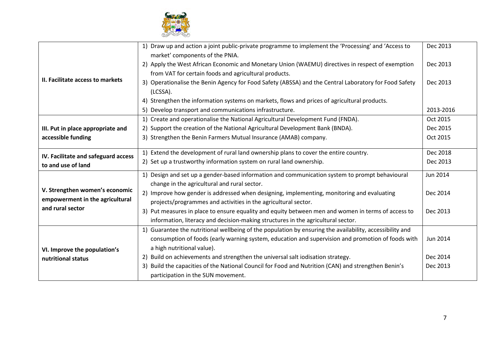

| II. Facilitate access to markets                                                      | 1) Draw up and action a joint public-private programme to implement the 'Processing' and 'Access to<br>market' components of the PNIA.                                                                        | Dec 2013        |
|---------------------------------------------------------------------------------------|---------------------------------------------------------------------------------------------------------------------------------------------------------------------------------------------------------------|-----------------|
|                                                                                       | 2) Apply the West African Economic and Monetary Union (WAEMU) directives in respect of exemption<br>from VAT for certain foods and agricultural products.                                                     | Dec 2013        |
|                                                                                       | 3) Operationalise the Benin Agency for Food Safety (ABSSA) and the Central Laboratory for Food Safety<br>(LCSSA).                                                                                             | Dec 2013        |
|                                                                                       | 4) Strengthen the information systems on markets, flows and prices of agricultural products.<br>5) Develop transport and communications infrastructure.                                                       | 2013-2016       |
|                                                                                       | 1) Create and operationalise the National Agricultural Development Fund (FNDA).                                                                                                                               | Oct 2015        |
| III. Put in place appropriate and                                                     | 2) Support the creation of the National Agricultural Development Bank (BNDA).                                                                                                                                 | Dec 2015        |
| accessible funding                                                                    | 3) Strengthen the Benin Farmers Mutual Insurance (AMAB) company.                                                                                                                                              | Oct 2015        |
| IV. Facilitate and safeguard access                                                   | 1) Extend the development of rural land ownership plans to cover the entire country.                                                                                                                          | Dec 2018        |
| to and use of land                                                                    | 2) Set up a trustworthy information system on rural land ownership.                                                                                                                                           | Dec 2013        |
|                                                                                       | 1) Design and set up a gender-based information and communication system to prompt behavioural                                                                                                                | <b>Jun 2014</b> |
| V. Strengthen women's economic<br>empowerment in the agricultural<br>and rural sector | change in the agricultural and rural sector.<br>2) Improve how gender is addressed when designing, implementing, monitoring and evaluating<br>projects/programmes and activities in the agricultural sector.  | Dec 2014        |
|                                                                                       | 3) Put measures in place to ensure equality and equity between men and women in terms of access to<br>information, literacy and decision-making structures in the agricultural sector.                        | Dec 2013        |
|                                                                                       | 1) Guarantee the nutritional wellbeing of the population by ensuring the availability, accessibility and<br>consumption of foods (early warning system, education and supervision and promotion of foods with | Jun 2014        |
| VI. Improve the population's                                                          | a high nutritional value).                                                                                                                                                                                    |                 |
| nutritional status                                                                    | 2) Build on achievements and strengthen the universal salt iodisation strategy.                                                                                                                               | Dec 2014        |
|                                                                                       | 3) Build the capacities of the National Council for Food and Nutrition (CAN) and strengthen Benin's<br>participation in the SUN movement.                                                                     | Dec 2013        |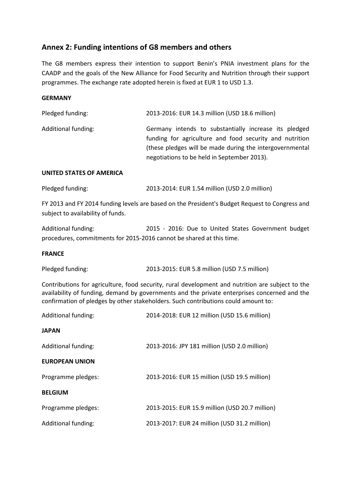## **Annex 2: Funding intentions of G8 members and others**

The G8 members express their intention to support Benin's PNIA investment plans for the CAADP and the goals of the New Alliance for Food Security and Nutrition through their support programmes. The exchange rate adopted herein is fixed at EUR 1 to USD 1.3.

## **GERMANY**

| Pledged funding:    | 2013-2016: EUR 14.3 million (USD 18.6 million)                                                                                                                                                                              |
|---------------------|-----------------------------------------------------------------------------------------------------------------------------------------------------------------------------------------------------------------------------|
| Additional funding: | Germany intends to substantially increase its pledged<br>funding for agriculture and food security and nutrition<br>(these pledges will be made during the intergovernmental<br>negotiations to be held in September 2013). |
|                     |                                                                                                                                                                                                                             |

## **UNITED STATES OF AMERICA**

| Pledged funding: | 2013-2014: EUR 1.54 million (USD 2.0 million) |
|------------------|-----------------------------------------------|
|                  |                                               |

FY 2013 and FY 2014 funding levels are based on the President's Budget Request to Congress and subject to availability of funds.

Additional funding: 2015 - 2016: Due to United States Government budget procedures, commitments for 2015-2016 cannot be shared at this time.

#### **FRANCE**

| Pledged funding: | 2013-2015: EUR 5.8 million (USD 7.5 million) |
|------------------|----------------------------------------------|
|------------------|----------------------------------------------|

Contributions for agriculture, food security, rural development and nutrition are subject to the availability of funding, demand by governments and the private enterprises concerned and the confirmation of pledges by other stakeholders. Such contributions could amount to:

| Additional funding:   | 2014-2018: EUR 12 million (USD 15.6 million)   |
|-----------------------|------------------------------------------------|
| <b>JAPAN</b>          |                                                |
| Additional funding:   | 2013-2016: JPY 181 million (USD 2.0 million)   |
| <b>EUROPEAN UNION</b> |                                                |
| Programme pledges:    | 2013-2016: EUR 15 million (USD 19.5 million)   |
| <b>BELGIUM</b>        |                                                |
| Programme pledges:    | 2013-2015: EUR 15.9 million (USD 20.7 million) |
| Additional funding:   | 2013-2017: EUR 24 million (USD 31.2 million)   |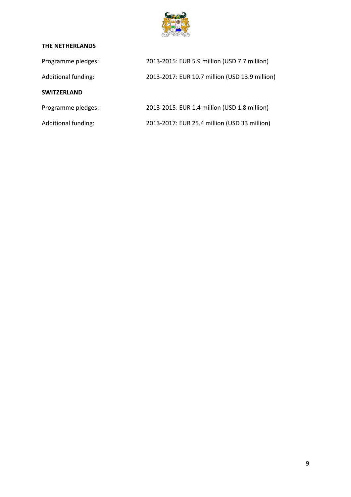

## **THE NETHERLANDS**

| Programme pledges:  | 2013-2015: EUR 5.9 million (USD 7.7 million)   |
|---------------------|------------------------------------------------|
| Additional funding: | 2013-2017: EUR 10.7 million (USD 13.9 million) |
| <b>SWITZERLAND</b>  |                                                |
| Programme pledges:  | 2013-2015: EUR 1.4 million (USD 1.8 million)   |
| Additional funding: | 2013-2017: EUR 25.4 million (USD 33 million)   |
|                     |                                                |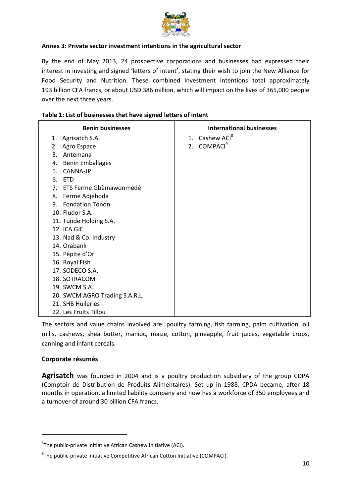

## **Annex 3: Private sector investment intentions in the agricultural sector**

By the end of May 2013, 24 prospective corporations and businesses had expressed their interest in investing and signed 'letters of intent', stating their wish to join the New Alliance for Food Security and Nutrition. These combined investment intentions total approximately 193 billion CFA francs, or about USD 386 million, which will impact on the lives of 365,000 people over the next three years.

| <b>Benin businesses</b>        | <b>International businesses</b> |
|--------------------------------|---------------------------------|
| 1. Agrisatch S.A.              | 1. Cashew ACI <sup>8</sup>      |
| Agro Espace<br>2.              | 2. COMPACI <sup>9</sup>         |
| 3.<br>Antemana                 |                                 |
| <b>Benin Emballages</b><br>4.  |                                 |
| <b>CANNA-JP</b><br>5.          |                                 |
| 6. ETD                         |                                 |
| 7. ETS Ferme Gbèmawonmédé      |                                 |
| 8. Ferme Adjehoda              |                                 |
| 9. Fondation Tonon             |                                 |
| 10. Fludor S.A.                |                                 |
| 11. Tunde Holding S.A.         |                                 |
| 12. ICA GIE                    |                                 |
| 13. Nad & Co. Industry         |                                 |
| 14. Orabank                    |                                 |
| 15. Pépite d'Or                |                                 |
| 16. Royal Fish                 |                                 |
| 17. SODECO S.A.                |                                 |
| 18. SOTRACOM                   |                                 |
| 19. SWCM S.A.                  |                                 |
| 20. SWCM AGRO Trading S.A.R.L. |                                 |
| 21. SHB Huileries              |                                 |
| 22. Les Fruits Tillou          |                                 |

#### **Table 1: List of businesses that have signed letters of intent**

The sectors and value chains involved are: poultry farming, fish farming, palm cultivation, oil mills, cashews, shea butter, manioc, maize, cotton, pineapple, fruit juices, vegetable crops, canning and infant cereals.

## **Corporate résumés**

 $\overline{a}$ 

**Agrisatch** was founded in 2004 and is a poultry production subsidiary of the group CDPA (Comptoir de Distribution de Produits Alimentaires). Set up in 1988, CPDA became, after 18 months in operation, a limited liability company and now has a workforce of 350 employees and a turnover of around 30 billion CFA francs.

 ${}^{8}$ The public-private initiative African Cashew Initiative (ACI).

<sup>&</sup>lt;sup>9</sup>The public-private initiative Competitive African Cotton Initiative (COMPACI).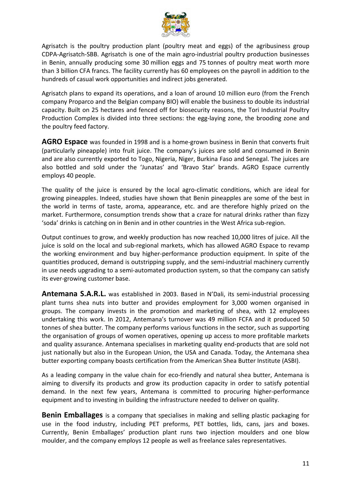

Agrisatch is the poultry production plant (poultry meat and eggs) of the agribusiness group CDPA-Agrisatch-SBB. Agrisatch is one of the main agro-industrial poultry production businesses in Benin, annually producing some 30 million eggs and 75 tonnes of poultry meat worth more than 3 billion CFA francs. The facility currently has 60 employees on the payroll in addition to the hundreds of casual work opportunities and indirect jobs generated.

Agrisatch plans to expand its operations, and a loan of around 10 million euro (from the French company Proparco and the Belgian company BIO) will enable the business to double its industrial capacity. Built on 25 hectares and fenced off for biosecurity reasons, the Tori Industrial Poultry Production Complex is divided into three sections: the egg-laying zone, the brooding zone and the poultry feed factory.

**AGRO Espace** was founded in 1998 and is a home-grown business in Benin that converts fruit (particularly pineapple) into fruit juice. The company's juices are sold and consumed in Benin and are also currently exported to Togo, Nigeria, Niger, Burkina Faso and Senegal. The juices are also bottled and sold under the 'Junatas' and 'Bravo Star' brands. AGRO Espace currently employs 40 people.

The quality of the juice is ensured by the local agro-climatic conditions, which are ideal for growing pineapples. Indeed, studies have shown that Benin pineapples are some of the best in the world in terms of taste, aroma, appearance, etc. and are therefore highly prized on the market. Furthermore, consumption trends show that a craze for natural drinks rather than fizzy 'soda' drinks is catching on in Benin and in other countries in the West Africa sub-region.

Output continues to grow, and weekly production has now reached 10,000 litres of juice. All the juice is sold on the local and sub-regional markets, which has allowed AGRO Espace to revamp the working environment and buy higher-performance production equipment. In spite of the quantities produced, demand is outstripping supply, and the semi-industrial machinery currently in use needs upgrading to a semi-automated production system, so that the company can satisfy its ever-growing customer base.

**Antemana S.A.R.L.** was established in 2003. Based in N'Dali, its semi-industrial processing plant turns shea nuts into butter and provides employment for 3,000 women organised in groups. The company invests in the promotion and marketing of shea, with 12 employees undertaking this work. In 2012, Antemana's turnover was 49 million FCFA and it produced 50 tonnes of shea butter. The company performs various functions in the sector, such as supporting the organisation of groups of women operatives, opening up access to more profitable markets and quality assurance. Antemana specialises in marketing quality end-products that are sold not just nationally but also in the European Union, the USA and Canada. Today, the Antemana shea butter exporting company boasts certification from the American Shea Butter Institute (ASBI).

As a leading company in the value chain for eco-friendly and natural shea butter, Antemana is aiming to diversify its products and grow its production capacity in order to satisfy potential demand. In the next few years, Antemana is committed to procuring higher-performance equipment and to investing in building the infrastructure needed to deliver on quality.

**Benin Emballages** is a company that specialises in making and selling plastic packaging for use in the food industry, including PET preforms, PET bottles, lids, cans, jars and boxes. Currently, Benin Emballages' production plant runs two injection moulders and one blow moulder, and the company employs 12 people as well as freelance sales representatives.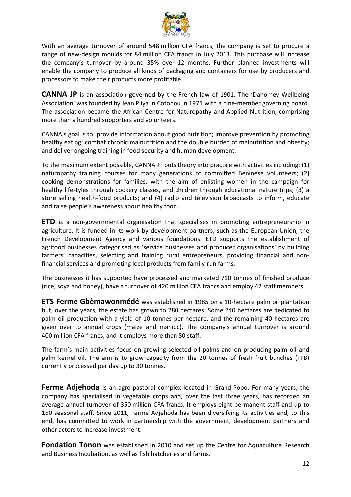

With an average turnover of around 548 million CFA francs, the company is set to procure a range of new-design moulds for 84 million CFA francs in July 2013. This purchase will increase the company's turnover by around 35% over 12 months. Further planned investments will enable the company to produce all kinds of packaging and containers for use by producers and processors to make their products more profitable.

**CANNA JP** is an association governed by the French law of 1901. The 'Dahomey Wellbeing Association' was founded by Jean Pliya in Cotonou in 1971 with a nine-member governing board. The association became the African Centre for Naturopathy and Applied Nutrition, comprising more than a hundred supporters and volunteers.

CANNA's goal is to: provide information about good nutrition; improve prevention by promoting healthy eating; combat chronic malnutrition and the double burden of malnutrition and obesity; and deliver ongoing training in food security and human development.

To the maximum extent possible, CANNA JP puts theory into practice with activities including: (1) naturopathy training courses for many generations of committed Beninese volunteers; (2) cooking demonstrations for families, with the aim of enlisting women in the campaign for healthy lifestyles through cookery classes, and children through educational nature trips; (3) a store selling health-food products; and (4) radio and television broadcasts to inform, educate and raise people's awareness about healthy food.

**ETD** is a non-governmental organisation that specialises in promoting entrepreneurship in agriculture. It is funded in its work by development partners, such as the European Union, the French Development Agency and various foundations. ETD supports the establishment of agrifood businesses categorised as 'service businesses and producer organisations' by building farmers' capacities, selecting and training rural entrepreneurs, providing financial and nonfinancial services and promoting local products from family-run farms.

The businesses it has supported have processed and marketed 710 tonnes of finished produce (rice, soya and honey), have a turnover of 420 million CFA francs and employ 42 staff members.

**ETS Ferme Gbèmawonmédé** was established in 1985 on a 10-hectare palm oil plantation but, over the years, the estate has grown to 280 hectares. Some 240 hectares are dedicated to palm oil production with a yield of 10 tonnes per hectare, and the remaining 40 hectares are given over to annual crops (maize and manioc). The company's annual turnover is around 400 million CFA francs, and it employs more than 80 staff.

The farm's main activities focus on growing selected oil palms and on producing palm oil and palm kernel oil. The aim is to grow capacity from the 20 tonnes of fresh fruit bunches (FFB) currently processed per day up to 30 tonnes.

**Ferme Adjehoda** is an agro-pastoral complex located in Grand-Popo. For many years, the company has specialised in vegetable crops and, over the last three years, has recorded an average annual turnover of 350 million CFA francs. It employs eight permanent staff and up to 150 seasonal staff. Since 2011, Ferme Adjehoda has been diversifying its activities and, to this end, has committed to work in partnership with the government, development partners and other actors to increase investment.

**Fondation Tonon** was established in 2010 and set up the Centre for Aquaculture Research and Business Incubation, as well as fish hatcheries and farms.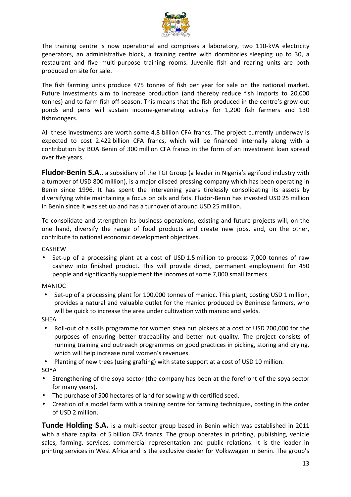

The training centre is now operational and comprises a laboratory, two 110-kVA electricity generators, an administrative block, a training centre with dormitories sleeping up to 30, a restaurant and five multi-purpose training rooms. Juvenile fish and rearing units are both produced on site for sale.

The fish farming units produce 475 tonnes of fish per year for sale on the national market. Future investments aim to increase production (and thereby reduce fish imports to 20,000 tonnes) and to farm fish off-season. This means that the fish produced in the centre's grow-out ponds and pens will sustain income-generating activity for 1,200 fish farmers and 130 fishmongers.

All these investments are worth some 4.8 billion CFA francs. The project currently underway is expected to cost 2.422 billion CFA francs, which will be financed internally along with a contribution by BOA Benin of 300 million CFA francs in the form of an investment loan spread over five years.

**Fludor-Benin S.A.**, a subsidiary of the TGI Group (a leader in Nigeria's agrifood industry with a turnover of USD 800 million), is a major oilseed pressing company which has been operating in Benin since 1996. It has spent the intervening years tirelessly consolidating its assets by diversifying while maintaining a focus on oils and fats. Fludor-Benin has invested USD 25 million in Benin since it was set up and has a turnover of around USD 25 million.

To consolidate and strengthen its business operations, existing and future projects will, on the one hand, diversify the range of food products and create new jobs, and, on the other, contribute to national economic development objectives.

CASHEW

• Set-up of a processing plant at a cost of USD 1.5 million to process 7,000 tonnes of raw cashew into finished product. This will provide direct, permanent employment for 450 people and significantly supplement the incomes of some 7,000 small farmers.

## MANIOC

• Set-up of a processing plant for 100,000 tonnes of manioc. This plant, costing USD 1 million, provides a natural and valuable outlet for the manioc produced by Beninese farmers, who will be quick to increase the area under cultivation with manioc and yields.

SHEA

• Roll-out of a skills programme for women shea nut pickers at a cost of USD 200,000 for the purposes of ensuring better traceability and better nut quality. The project consists of running training and outreach programmes on good practices in picking, storing and drying, which will help increase rural women's revenues.

• Planting of new trees (using grafting) with state support at a cost of USD 10 million.

SOYA

- Strengthening of the soya sector (the company has been at the forefront of the soya sector for many years).
- The purchase of 500 hectares of land for sowing with certified seed.
- Creation of a model farm with a training centre for farming techniques, costing in the order of USD 2 million.

**Tunde Holding S.A.** is a multi-sector group based in Benin which was established in 2011 with a share capital of 5 billion CFA francs. The group operates in printing, publishing, vehicle sales, farming, services, commercial representation and public relations. It is the leader in printing services in West Africa and is the exclusive dealer for Volkswagen in Benin. The group's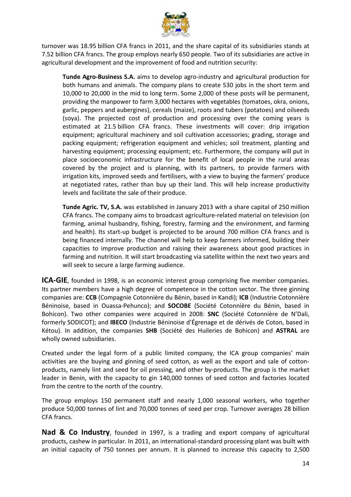

turnover was 18.95 billion CFA francs in 2011, and the share capital of its subsidiaries stands at 7.52 billion CFA francs. The group employs nearly 650 people. Two of its subsidiaries are active in agricultural development and the improvement of food and nutrition security:

**Tunde Agro-Business S.A.** aims to develop agro-industry and agricultural production for both humans and animals. The company plans to create 530 jobs in the short term and 10,000 to 20,000 in the mid to long term. Some 2,000 of these posts will be permanent, providing the manpower to farm 3,000 hectares with vegetables (tomatoes, okra, onions, garlic, peppers and aubergines), cereals (maize), roots and tubers (potatoes) and oilseeds (soya). The projected cost of production and processing over the coming years is estimated at 21.5 billion CFA francs. These investments will cover: drip irrigation equipment; agricultural machinery and soil cultivation accessories; grading, storage and packing equipment; refrigeration equipment and vehicles; soil treatment, planting and harvesting equipment; processing equipment; etc. Furthermore, the company will put in place socioeconomic infrastructure for the benefit of local people in the rural areas covered by the project and is planning, with its partners, to provide farmers with irrigation kits, improved seeds and fertilisers, with a view to buying the farmers' produce at negotiated rates, rather than buy up their land. This will help increase productivity levels and facilitate the sale of their produce.

**Tunde Agric. TV, S.A.** was established in January 2013 with a share capital of 250 million CFA francs. The company aims to broadcast agriculture-related material on television (on farming, animal husbandry, fishing, forestry, farming and the environment, and farming and health). Its start-up budget is projected to be around 700 million CFA francs and is being financed internally. The channel will help to keep farmers informed, building their capacities to improve production and raising their awareness about good practices in farming and nutrition. It will start broadcasting via satellite within the next two years and will seek to secure a large farming audience.

**ICA-GIE**, founded in 1998, is an economic interest group comprising five member companies. Its partner members have a high degree of competence in the cotton sector. The three ginning companies are: **CCB** (Compagnie Cotonnière du Bénin, based in Kandi); **ICB** (Industrie Cotonnière Béninoise, based in Ouassa-Pehunco); and **SOCOBE** (Société Cotonnière du Bénin, based in Bohicon). Two other companies were acquired in 2008: **SNC** (Société Cotonnière de N'Dali, formerly SODICOT); and **IBECO** (Industrie Béninoise d'Égrenage et de dérivés de Coton, based in Kétou). In addition, the companies **SHB** (Société des Huileries de Bohicon) and **ASTRAL** are wholly owned subsidiaries.

Created under the legal form of a public limited company, the ICA group companies' main activities are the buying and ginning of seed cotton, as well as the export and sale of cottonproducts, namely lint and seed for oil pressing, and other by-products. The group is the market leader in Benin, with the capacity to gin 140,000 tonnes of seed cotton and factories located from the centre to the north of the country.

The group employs 150 permanent staff and nearly 1,000 seasonal workers, who together produce 50,000 tonnes of lint and 70,000 tonnes of seed per crop. Turnover averages 28 billion CFA francs.

**Nad & Co Industry**, founded in 1997, is a trading and export company of agricultural products, cashew in particular. In 2011, an international-standard processing plant was built with an initial capacity of 750 tonnes per annum. It is planned to increase this capacity to 2,500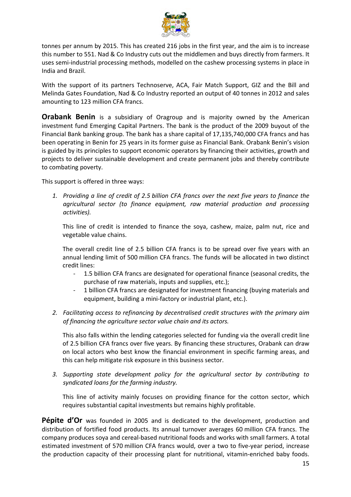

tonnes per annum by 2015. This has created 216 jobs in the first year, and the aim is to increase this number to 551. Nad & Co Industry cuts out the middlemen and buys directly from farmers. It uses semi-industrial processing methods, modelled on the cashew processing systems in place in India and Brazil.

With the support of its partners Technoserve, ACA, Fair Match Support, GIZ and the Bill and Melinda Gates Foundation, Nad & Co Industry reported an output of 40 tonnes in 2012 and sales amounting to 123 million CFA francs.

**Orabank Benin** is a subsidiary of Oragroup and is majority owned by the American investment fund Emerging Capital Partners. The bank is the product of the 2009 buyout of the Financial Bank banking group. The bank has a share capital of 17,135,740,000 CFA francs and has been operating in Benin for 25 years in its former guise as Financial Bank. Orabank Benin's vision is guided by its principles to support economic operators by financing their activities, growth and projects to deliver sustainable development and create permanent jobs and thereby contribute to combating poverty.

This support is offered in three ways:

*1. Providing a line of credit of 2.5 billion CFA francs over the next five years to finance the agricultural sector (to finance equipment, raw material production and processing activities).* 

This line of credit is intended to finance the soya, cashew, maize, palm nut, rice and vegetable value chains.

The overall credit line of 2.5 billion CFA francs is to be spread over five years with an annual lending limit of 500 million CFA francs. The funds will be allocated in two distinct credit lines:

- 1.5 billion CFA francs are designated for operational finance (seasonal credits, the purchase of raw materials, inputs and supplies, etc.);
- 1 billion CFA francs are designated for investment financing (buying materials and equipment, building a mini-factory or industrial plant, etc.).
- *2. Facilitating access to refinancing by decentralised credit structures with the primary aim of financing the agriculture sector value chain and its actors.*

This also falls within the lending categories selected for funding via the overall credit line of 2.5 billion CFA francs over five years. By financing these structures, Orabank can draw on local actors who best know the financial environment in specific farming areas, and this can help mitigate risk exposure in this business sector.

*3. Supporting state development policy for the agricultural sector by contributing to syndicated loans for the farming industry.* 

This line of activity mainly focuses on providing finance for the cotton sector, which requires substantial capital investments but remains highly profitable.

**Pépite d'Or** was founded in 2005 and is dedicated to the development, production and distribution of fortified food products. Its annual turnover averages 60 million CFA francs. The company produces soya and cereal-based nutritional foods and works with small farmers. A total estimated investment of 570 million CFA francs would, over a two to five-year period, increase the production capacity of their processing plant for nutritional, vitamin-enriched baby foods.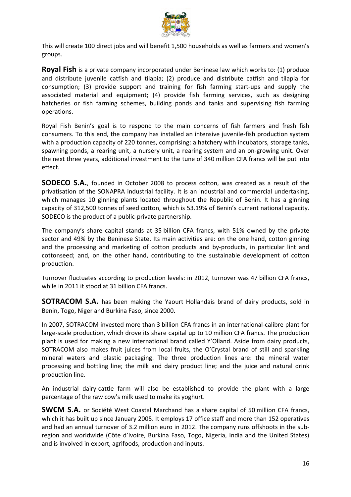

This will create 100 direct jobs and will benefit 1,500 households as well as farmers and women's groups.

**Royal Fish** is a private company incorporated under Beninese law which works to: (1) produce and distribute juvenile catfish and tilapia; (2) produce and distribute catfish and tilapia for consumption; (3) provide support and training for fish farming start-ups and supply the associated material and equipment; (4) provide fish farming services, such as designing hatcheries or fish farming schemes, building ponds and tanks and supervising fish farming operations.

Royal Fish Benin's goal is to respond to the main concerns of fish farmers and fresh fish consumers. To this end, the company has installed an intensive juvenile-fish production system with a production capacity of 220 tonnes, comprising: a hatchery with incubators, storage tanks, spawning ponds, a rearing unit, a nursery unit, a rearing system and an on-growing unit. Over the next three years, additional investment to the tune of 340 million CFA francs will be put into effect.

**SODECO S.A.**, founded in October 2008 to process cotton, was created as a result of the privatisation of the SONAPRA industrial facility. It is an industrial and commercial undertaking, which manages 10 ginning plants located throughout the Republic of Benin. It has a ginning capacity of 312,500 tonnes of seed cotton, which is 53.19% of Benin's current national capacity. SODECO is the product of a public-private partnership.

The company's share capital stands at 35 billion CFA francs, with 51% owned by the private sector and 49% by the Beninese State. Its main activities are: on the one hand, cotton ginning and the processing and marketing of cotton products and by-products, in particular lint and cottonseed; and, on the other hand, contributing to the sustainable development of cotton production.

Turnover fluctuates according to production levels: in 2012, turnover was 47 billion CFA francs, while in 2011 it stood at 31 billion CFA francs.

**SOTRACOM S.A.** has been making the Yaourt Hollandais brand of dairy products, sold in Benin, Togo, Niger and Burkina Faso, since 2000.

In 2007, SOTRACOM invested more than 3 billion CFA francs in an international-calibre plant for large-scale production, which drove its share capital up to 10 million CFA francs. The production plant is used for making a new international brand called Y'Olland. Aside from dairy products, SOTRACOM also makes fruit juices from local fruits, the O'Crystal brand of still and sparkling mineral waters and plastic packaging. The three production lines are: the mineral water processing and bottling line; the milk and dairy product line; and the juice and natural drink production line.

An industrial dairy-cattle farm will also be established to provide the plant with a large percentage of the raw cow's milk used to make its yoghurt.

**SWCM S.A.** or Société West Coastal Marchand has a share capital of 50 million CFA francs, which it has built up since January 2005. It employs 17 office staff and more than 152 operatives and had an annual turnover of 3.2 million euro in 2012. The company runs offshoots in the subregion and worldwide (Côte d'Ivoire, Burkina Faso, Togo, Nigeria, India and the United States) and is involved in export, agrifoods, production and inputs.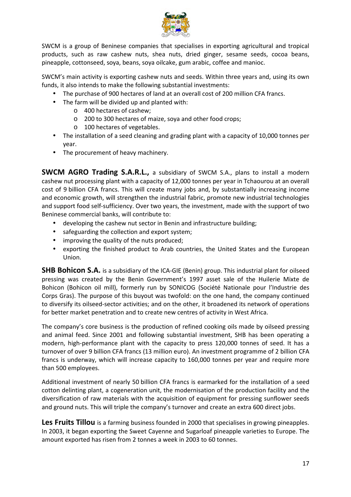

SWCM is a group of Beninese companies that specialises in exporting agricultural and tropical products, such as raw cashew nuts, shea nuts, dried ginger, sesame seeds, cocoa beans, pineapple, cottonseed, soya, beans, soya oilcake, gum arabic, coffee and manioc.

SWCM's main activity is exporting cashew nuts and seeds. Within three years and, using its own funds, it also intends to make the following substantial investments:

- The purchase of 900 hectares of land at an overall cost of 200 million CFA francs.
- The farm will be divided up and planted with:
	- o 400 hectares of cashew;
	- o 200 to 300 hectares of maize, soya and other food crops;
	- o 100 hectares of vegetables.
- The installation of a seed cleaning and grading plant with a capacity of 10,000 tonnes per year.
- The procurement of heavy machinery.

**SWCM AGRO Trading S.A.R.L.,** a subsidiary of SWCM S.A., plans to install a modern cashew nut processing plant with a capacity of 12,000 tonnes per year in Tchaourou at an overall cost of 9 billion CFA francs. This will create many jobs and, by substantially increasing income and economic growth, will strengthen the industrial fabric, promote new industrial technologies and support food self-sufficiency. Over two years, the investment, made with the support of two Beninese commercial banks, will contribute to:

- developing the cashew nut sector in Benin and infrastructure building;
- safeguarding the collection and export system;
- improving the quality of the nuts produced;
- exporting the finished product to Arab countries, the United States and the European Union.

**SHB Bohicon S.A.** is a subsidiary of the ICA-GIE (Benin) group. This industrial plant for oilseed pressing was created by the Benin Government's 1997 asset sale of the Huilerie Mixte de Bohicon (Bohicon oil mill), formerly run by SONICOG (Société Nationale pour l'Industrie des Corps Gras). The purpose of this buyout was twofold: on the one hand, the company continued to diversify its oilseed-sector activities; and on the other, it broadened its network of operations for better market penetration and to create new centres of activity in West Africa.

The company's core business is the production of refined cooking oils made by oilseed pressing and animal feed. Since 2001 and following substantial investment, SHB has been operating a modern, high-performance plant with the capacity to press 120,000 tonnes of seed. It has a turnover of over 9 billion CFA francs (13 million euro). An investment programme of 2 billion CFA francs is underway, which will increase capacity to 160,000 tonnes per year and require more than 500 employees.

Additional investment of nearly 50 billion CFA francs is earmarked for the installation of a seed cotton delinting plant, a cogeneration unit, the modernisation of the production facility and the diversification of raw materials with the acquisition of equipment for pressing sunflower seeds and ground nuts. This will triple the company's turnover and create an extra 600 direct jobs.

Les Fruits Tillou is a farming business founded in 2000 that specialises in growing pineapples. In 2003, it began exporting the Sweet Cayenne and Sugarloaf pineapple varieties to Europe. The amount exported has risen from 2 tonnes a week in 2003 to 60 tonnes.